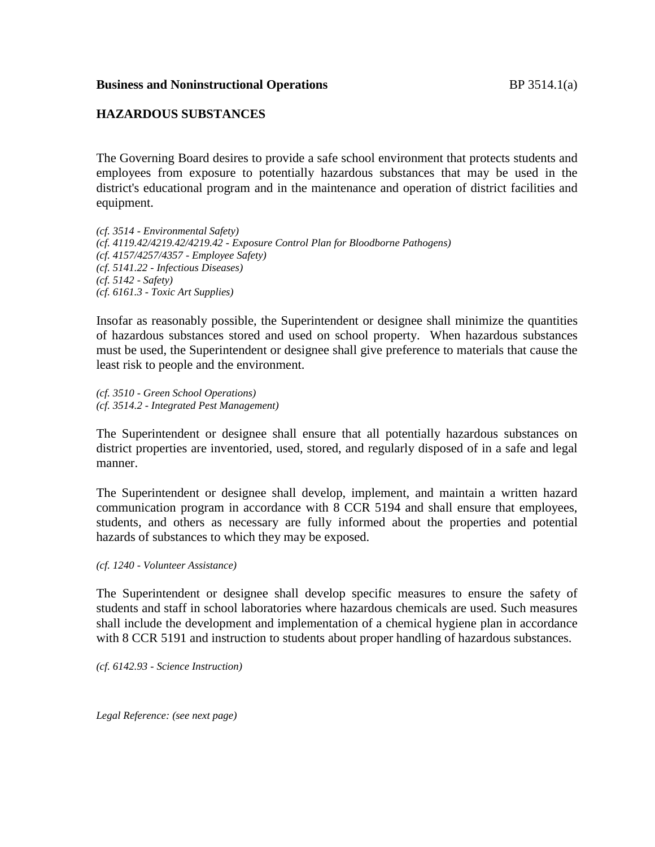#### **Business and Noninstructional Operations BP** 3514.1(a)

### **HAZARDOUS SUBSTANCES**

The Governing Board desires to provide a safe school environment that protects students and employees from exposure to potentially hazardous substances that may be used in the district's educational program and in the maintenance and operation of district facilities and equipment.

*(cf. 3514 - Environmental Safety) (cf. 4119.42/4219.42/4219.42 - Exposure Control Plan for Bloodborne Pathogens) (cf. 4157/4257/4357 - Employee Safety) (cf. 5141.22 - Infectious Diseases) (cf. 5142 - Safety) (cf. 6161.3 - Toxic Art Supplies)*

Insofar as reasonably possible, the Superintendent or designee shall minimize the quantities of hazardous substances stored and used on school property. When hazardous substances must be used, the Superintendent or designee shall give preference to materials that cause the least risk to people and the environment.

*(cf. 3510 - Green School Operations) (cf. 3514.2 - Integrated Pest Management)*

The Superintendent or designee shall ensure that all potentially hazardous substances on district properties are inventoried, used, stored, and regularly disposed of in a safe and legal manner.

The Superintendent or designee shall develop, implement, and maintain a written hazard communication program in accordance with 8 CCR 5194 and shall ensure that employees, students, and others as necessary are fully informed about the properties and potential hazards of substances to which they may be exposed.

*(cf. 1240 - Volunteer Assistance)*

The Superintendent or designee shall develop specific measures to ensure the safety of students and staff in school laboratories where hazardous chemicals are used. Such measures shall include the development and implementation of a chemical hygiene plan in accordance with 8 CCR 5191 and instruction to students about proper handling of hazardous substances.

*(cf. 6142.93 - Science Instruction)*

*Legal Reference: (see next page)*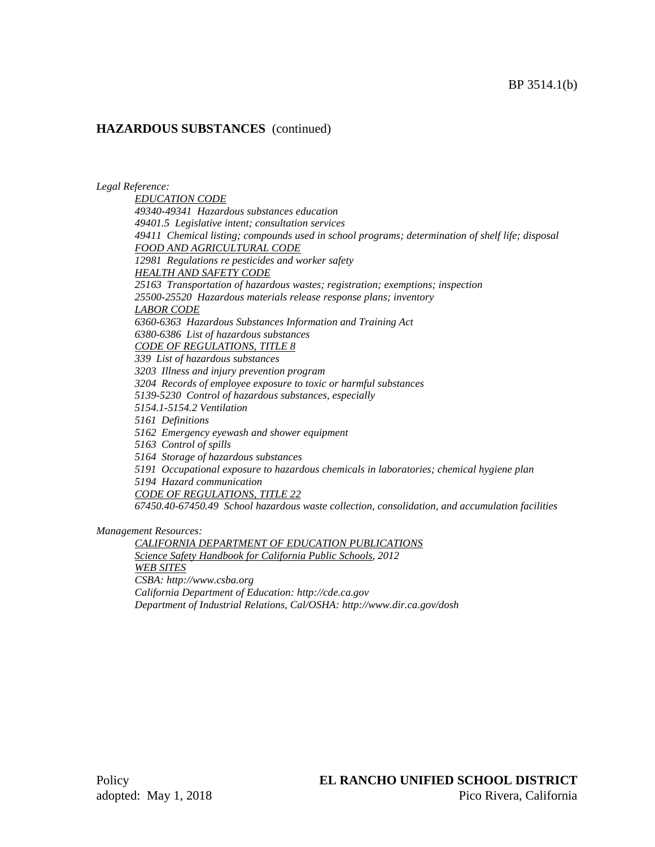*Legal Reference:*

*EDUCATION CODE 49340-49341 Hazardous substances education 49401.5 Legislative intent; consultation services 49411 Chemical listing; compounds used in school programs; determination of shelf life; disposal FOOD AND AGRICULTURAL CODE 12981 Regulations re pesticides and worker safety HEALTH AND SAFETY CODE 25163 Transportation of hazardous wastes; registration; exemptions; inspection 25500-25520 Hazardous materials release response plans; inventory LABOR CODE 6360-6363 Hazardous Substances Information and Training Act 6380-6386 List of hazardous substances CODE OF REGULATIONS, TITLE 8 339 List of hazardous substances 3203 Illness and injury prevention program 3204 Records of employee exposure to toxic or harmful substances 5139-5230 Control of hazardous substances, especially 5154.1-5154.2 Ventilation 5161 Definitions 5162 Emergency eyewash and shower equipment 5163 Control of spills 5164 Storage of hazardous substances 5191 Occupational exposure to hazardous chemicals in laboratories; chemical hygiene plan 5194 Hazard communication CODE OF REGULATIONS, TITLE 22 67450.40-67450.49 School hazardous waste collection, consolidation, and accumulation facilities*

*Management Resources:*

*CALIFORNIA DEPARTMENT OF EDUCATION PUBLICATIONS Science Safety Handbook for California Public Schools, 2012 WEB SITES CSBA: http://www.csba.org California Department of Education: http://cde.ca.gov Department of Industrial Relations, Cal/OSHA: http://www.dir.ca.gov/dosh*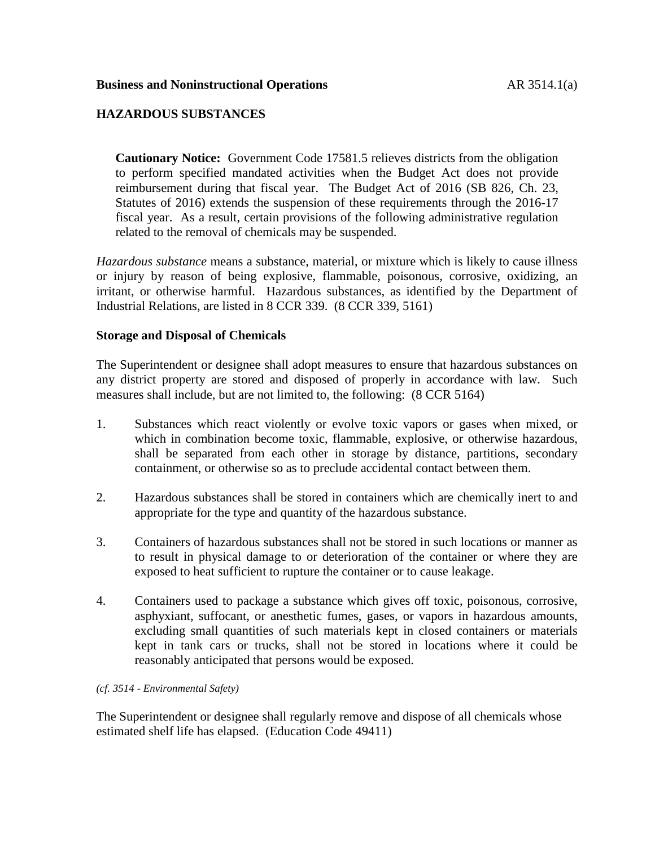# **HAZARDOUS SUBSTANCES**

**Cautionary Notice:** Government Code 17581.5 relieves districts from the obligation to perform specified mandated activities when the Budget Act does not provide reimbursement during that fiscal year. The Budget Act of 2016 (SB 826, Ch. 23, Statutes of 2016) extends the suspension of these requirements through the 2016-17 fiscal year. As a result, certain provisions of the following administrative regulation related to the removal of chemicals may be suspended.

*Hazardous substance* means a substance, material, or mixture which is likely to cause illness or injury by reason of being explosive, flammable, poisonous, corrosive, oxidizing, an irritant, or otherwise harmful. Hazardous substances, as identified by the Department of Industrial Relations, are listed in 8 CCR 339. (8 CCR 339, 5161)

#### **Storage and Disposal of Chemicals**

The Superintendent or designee shall adopt measures to ensure that hazardous substances on any district property are stored and disposed of properly in accordance with law. Such measures shall include, but are not limited to, the following: (8 CCR 5164)

- 1. Substances which react violently or evolve toxic vapors or gases when mixed, or which in combination become toxic, flammable, explosive, or otherwise hazardous, shall be separated from each other in storage by distance, partitions, secondary containment, or otherwise so as to preclude accidental contact between them.
- 2. Hazardous substances shall be stored in containers which are chemically inert to and appropriate for the type and quantity of the hazardous substance.
- 3. Containers of hazardous substances shall not be stored in such locations or manner as to result in physical damage to or deterioration of the container or where they are exposed to heat sufficient to rupture the container or to cause leakage.
- 4. Containers used to package a substance which gives off toxic, poisonous, corrosive, asphyxiant, suffocant, or anesthetic fumes, gases, or vapors in hazardous amounts, excluding small quantities of such materials kept in closed containers or materials kept in tank cars or trucks, shall not be stored in locations where it could be reasonably anticipated that persons would be exposed.

#### *(cf. 3514 - Environmental Safety)*

The Superintendent or designee shall regularly remove and dispose of all chemicals whose estimated shelf life has elapsed. (Education Code 49411)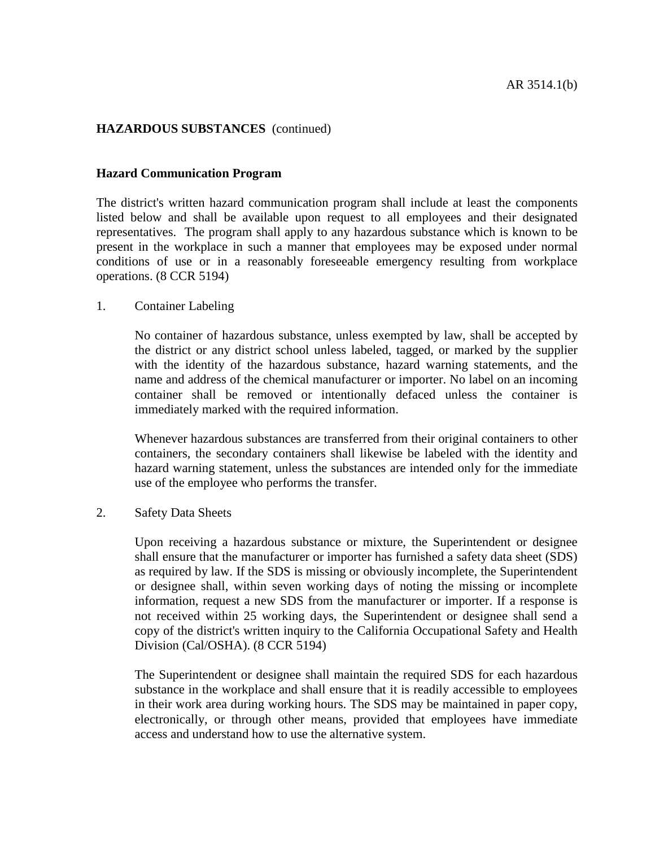#### **Hazard Communication Program**

The district's written hazard communication program shall include at least the components listed below and shall be available upon request to all employees and their designated representatives. The program shall apply to any hazardous substance which is known to be present in the workplace in such a manner that employees may be exposed under normal conditions of use or in a reasonably foreseeable emergency resulting from workplace operations. (8 CCR 5194)

#### 1. Container Labeling

No container of hazardous substance, unless exempted by law, shall be accepted by the district or any district school unless labeled, tagged, or marked by the supplier with the identity of the hazardous substance, hazard warning statements, and the name and address of the chemical manufacturer or importer. No label on an incoming container shall be removed or intentionally defaced unless the container is immediately marked with the required information.

Whenever hazardous substances are transferred from their original containers to other containers, the secondary containers shall likewise be labeled with the identity and hazard warning statement, unless the substances are intended only for the immediate use of the employee who performs the transfer.

2. Safety Data Sheets

Upon receiving a hazardous substance or mixture, the Superintendent or designee shall ensure that the manufacturer or importer has furnished a safety data sheet (SDS) as required by law. If the SDS is missing or obviously incomplete, the Superintendent or designee shall, within seven working days of noting the missing or incomplete information, request a new SDS from the manufacturer or importer. If a response is not received within 25 working days, the Superintendent or designee shall send a copy of the district's written inquiry to the California Occupational Safety and Health Division (Cal/OSHA). (8 CCR 5194)

The Superintendent or designee shall maintain the required SDS for each hazardous substance in the workplace and shall ensure that it is readily accessible to employees in their work area during working hours. The SDS may be maintained in paper copy, electronically, or through other means, provided that employees have immediate access and understand how to use the alternative system.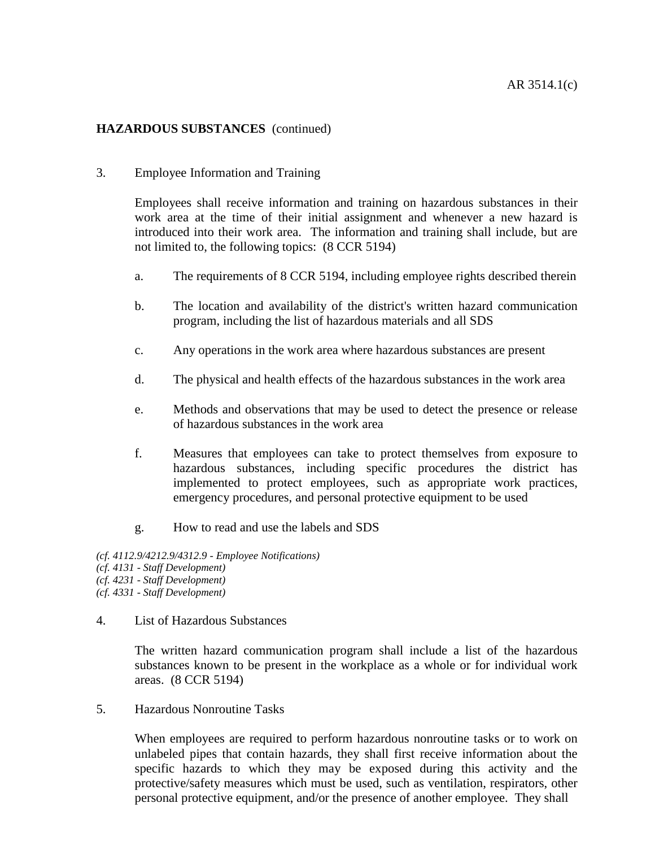### 3. Employee Information and Training

Employees shall receive information and training on hazardous substances in their work area at the time of their initial assignment and whenever a new hazard is introduced into their work area. The information and training shall include, but are not limited to, the following topics: (8 CCR 5194)

- a. The requirements of 8 CCR 5194, including employee rights described therein
- b. The location and availability of the district's written hazard communication program, including the list of hazardous materials and all SDS
- c. Any operations in the work area where hazardous substances are present
- d. The physical and health effects of the hazardous substances in the work area
- e. Methods and observations that may be used to detect the presence or release of hazardous substances in the work area
- f. Measures that employees can take to protect themselves from exposure to hazardous substances, including specific procedures the district has implemented to protect employees, such as appropriate work practices, emergency procedures, and personal protective equipment to be used
- g. How to read and use the labels and SDS

*(cf. 4112.9/4212.9/4312.9 - Employee Notifications) (cf. 4131 - Staff Development) (cf. 4231 - Staff Development) (cf. 4331 - Staff Development)*

4. List of Hazardous Substances

The written hazard communication program shall include a list of the hazardous substances known to be present in the workplace as a whole or for individual work areas. (8 CCR 5194)

5. Hazardous Nonroutine Tasks

When employees are required to perform hazardous nonroutine tasks or to work on unlabeled pipes that contain hazards, they shall first receive information about the specific hazards to which they may be exposed during this activity and the protective/safety measures which must be used, such as ventilation, respirators, other personal protective equipment, and/or the presence of another employee. They shall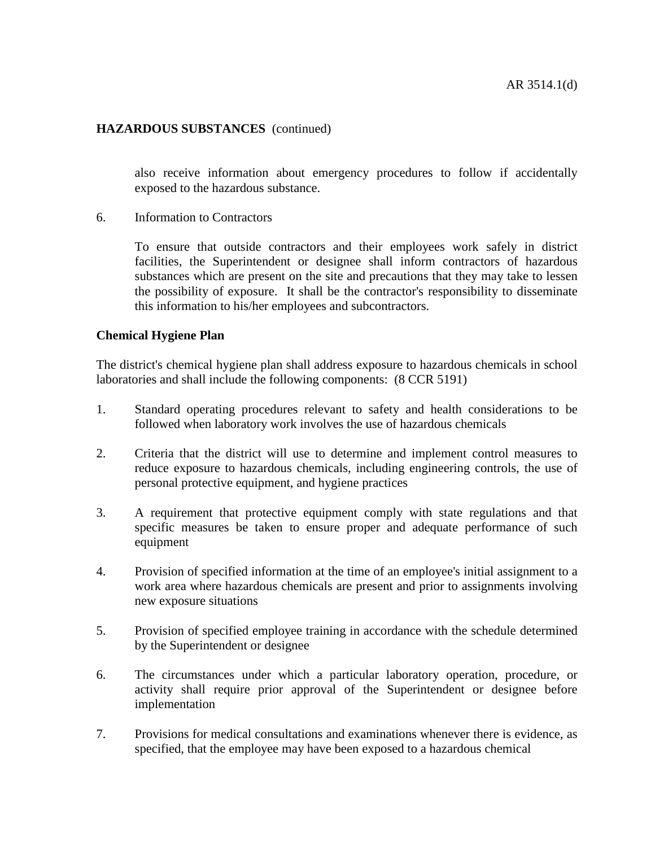also receive information about emergency procedures to follow if accidentally exposed to the hazardous substance.

6. Information to Contractors

To ensure that outside contractors and their employees work safely in district facilities, the Superintendent or designee shall inform contractors of hazardous substances which are present on the site and precautions that they may take to lessen the possibility of exposure. It shall be the contractor's responsibility to disseminate this information to his/her employees and subcontractors.

#### **Chemical Hygiene Plan**

The district's chemical hygiene plan shall address exposure to hazardous chemicals in school laboratories and shall include the following components: (8 CCR 5191)

- 1. Standard operating procedures relevant to safety and health considerations to be followed when laboratory work involves the use of hazardous chemicals
- 2. Criteria that the district will use to determine and implement control measures to reduce exposure to hazardous chemicals, including engineering controls, the use of personal protective equipment, and hygiene practices
- 3. A requirement that protective equipment comply with state regulations and that specific measures be taken to ensure proper and adequate performance of such equipment
- 4. Provision of specified information at the time of an employee's initial assignment to a work area where hazardous chemicals are present and prior to assignments involving new exposure situations
- 5. Provision of specified employee training in accordance with the schedule determined by the Superintendent or designee
- 6. The circumstances under which a particular laboratory operation, procedure, or activity shall require prior approval of the Superintendent or designee before implementation
- 7. Provisions for medical consultations and examinations whenever there is evidence, as specified, that the employee may have been exposed to a hazardous chemical